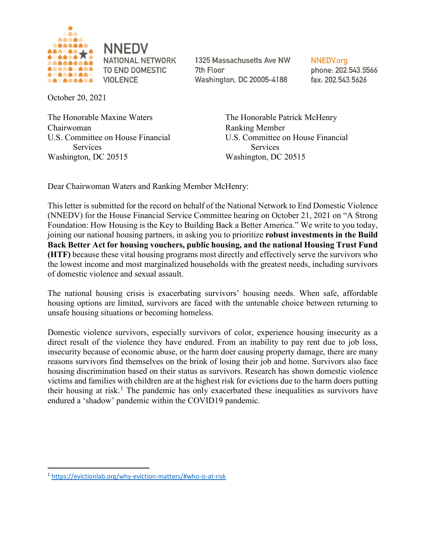

1325 Massachusetts Ave NW 7th Floor Washington, DC 20005-4188

**NNEDV.org** phone: 202.543.5566 fax: 202.543.5626

October 20, 2021

The Honorable Maxine Waters The Honorable Patrick McHenry Chairwoman Ranking Member Services Services Washington, DC 20515 Washington, DC 20515

U.S. Committee on House Financial U.S. Committee on House Financial

Dear Chairwoman Waters and Ranking Member McHenry:

This letter is submitted for the record on behalf of the National Network to End Domestic Violence (NNEDV) for the House Financial Service Committee hearing on October 21, 2021 on "A Strong Foundation: How Housing is the Key to Building Back a Better America." We write to you today, joining our national housing partners, in asking you to prioritize **robust investments in the Build Back Better Act for housing vouchers, public housing, and the national Housing Trust Fund (HTF)** because these vital housing programs most directly and effectively serve the survivors who the lowest income and most marginalized households with the greatest needs, including survivors of domestic violence and sexual assault.

The national housing crisis is exacerbating survivors' housing needs. When safe, affordable housing options are limited, survivors are faced with the untenable choice between returning to unsafe housing situations or becoming homeless.

Domestic violence survivors, especially survivors of color, experience housing insecurity as a direct result of the violence they have endured. From an inability to pay rent due to job loss, insecurity because of economic abuse, or the harm doer causing property damage, there are many reasons survivors find themselves on the brink of losing their job and home. Survivors also face housing discrimination based on their status as survivors. Research has shown domestic violence victims and families with children are at the highest risk for evictions due to the harm doers putting their housing at risk.<sup>[1](#page-0-0)</sup> The pandemic has only exacerbated these inequalities as survivors have endured a 'shadow' pandemic within the COVID19 pandemic.

<span id="page-0-0"></span> <sup>1</sup> <https://evictionlab.org/why-eviction-matters/#who-is-at-risk>